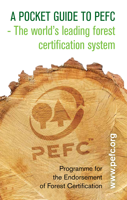## A pocket guide to PEFC - The world's leading forest certification system

Programme for the Endorsement of Forest Certification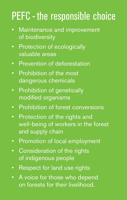## **PEFC** - the responsible choice

- • Maintenance and improvement of biodiversity
- Protection of ecologically valuable areas
- Prevention of deforestation
- • Prohibition of the most dangerous chemicals
- Prohibition of genetically modified organisms
- Prohibition of forest conversions
- • Protection of the rights and well-being of workers in the forest and supply chain
- • Promotion of local employment
- Consideration of the rights of indigenous people
- • Respect for land use rights
- • A voice for those who depend on forests for their livelihood.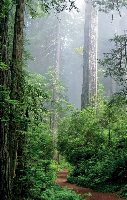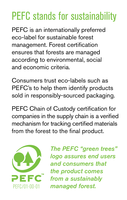## PEFC stands for sustainability

PEFC is an internationally preferred eco-label for sustainable forest management. Forest certification ensures that forests are managed according to environmental, social and economic criteria.

Consumers trust eco-labels such as PEFC's to help them identify products sold in responsibly-sourced packaging.

PEFC Chain of Custody certification for companies in the supply chain is a verified mechanism for tracking certified materials from the forest to the final product.



*The PEFC "green trees" logo assures end users and consumers that the product comes from a sustainably managed forest.*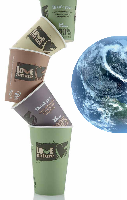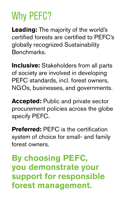## Why PEFC?

**Leading:** The majority of the world's certified forests are certified to PEFC's globally recognized Sustainability **Benchmarks** 

**Inclusive:** Stakeholders from all parts of society are involved in developing PEFC standards, incl. forest owners, NGOs, businesses, and governments.

**Accepted:** Public and private sector procurement policies across the globe specify PEFC.

**Preferred:** PEFC is the certification system of choice for small- and family forest owners.

**By choosing PEFC, you demonstrate your support for responsible forest management.**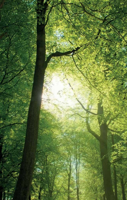